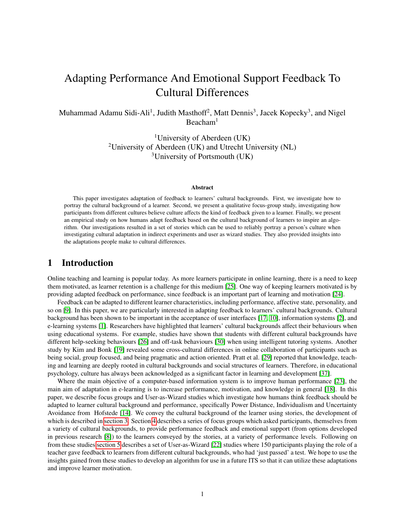# Adapting Performance And Emotional Support Feedback To Cultural Differences

Muhammad Adamu Sidi-Ali<sup>1</sup>, Judith Masthoff<sup>2</sup>, Matt Dennis<sup>3</sup>, Jacek Kopecky<sup>3</sup>, and Nigel  $Beacham<sup>1</sup>$ 

> <sup>1</sup>University of Aberdeen (UK) <sup>2</sup>University of Aberdeen (UK) and Utrecht University (NL) <sup>3</sup>University of Portsmouth (UK)

#### Abstract

This paper investigates adaptation of feedback to learners' cultural backgrounds. First, we investigate how to portray the cultural background of a learner. Second, we present a qualitative focus-group study, investigating how participants from different cultures believe culture affects the kind of feedback given to a learner. Finally, we present an empirical study on how humans adapt feedback based on the cultural background of learners to inspire an algorithm. Our investigations resulted in a set of stories which can be used to reliably portray a person's culture when investigating cultural adaptation in indirect experiments and user as wizard studies. They also provided insights into the adaptations people make to cultural differences.

# 1 Introduction

Online teaching and learning is popular today. As more learners participate in online learning, there is a need to keep them motivated, as learner retention is a challenge for this medium [\[25\]](#page-14-0). One way of keeping learners motivated is by providing adapted feedback on performance, since feedback is an important part of learning and motivation [\[24\]](#page-14-1).

Feedback can be adapted to different learner characteristics, including performance, affective state, personality, and so on [\[9\]](#page-14-2). In this paper, we are particularly interested in adapting feedback to learners' cultural backgrounds. Cultural background has been shown to be important in the acceptance of user interfaces [\[17,](#page-14-3) [10\]](#page-14-4), information systems [\[2\]](#page-13-0), and e-learning systems [\[1\]](#page-13-1). Researchers have highlighted that learners' cultural backgrounds affect their behaviours when using educational systems. For example, studies have shown that students with different cultural backgrounds have different help-seeking behaviours [\[26\]](#page-14-5) and off-task behaviours [\[30\]](#page-15-0) when using intelligent tutoring systems. Another study by Kim and Bonk [\[19\]](#page-14-6) revealed some cross-cultural differences in online collaboration of participants such as being social, group focused, and being pragmatic and action oriented. Pratt et al. [\[29\]](#page-15-1) reported that knowledge, teaching and learning are deeply rooted in cultural backgrounds and social structures of learners. Therefore, in educational psychology, culture has always been acknowledged as a significant factor in learning and development [\[37\]](#page-15-2).

Where the main objective of a computer-based information system is to improve human performance [\[23\]](#page-14-7), the main aim of adaptation in e-learning is to increase performance, motivation, and knowledge in general [\[18\]](#page-14-8). In this paper, we describe focus groups and User-as-Wizard studies which investigate how humans think feedback should be adapted to learner cultural background and performance, specifically Power Distance, Individualism and Uncertainty Avoidance from Hofstede [\[14\]](#page-14-9). We convey the cultural background of the learner using stories, the development of which is described in [section 3.](#page-2-0) Section [4](#page-4-0) describes a series of focus groups which asked participants, themselves from a variety of cultural backgrounds, to provide performance feedback and emotional support (from options developed in previous research [\[8\]](#page-13-2)) to the learners conveyed by the stories, at a variety of performance levels. Following on from these studies [section 5](#page-10-0) describes a set of User-as-Wizard [\[22\]](#page-14-10) studies where 150 participants playing the role of a teacher gave feedback to learners from different cultural backgrounds, who had 'just passed' a test. We hope to use the insights gained from these studies to develop an algorithm for use in a future ITS so that it can utilize these adaptations and improve learner motivation.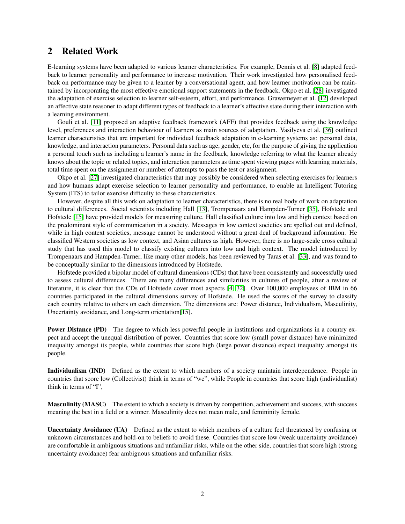# 2 Related Work

E-learning systems have been adapted to various learner characteristics. For example, Dennis et al. [\[8\]](#page-13-2) adapted feedback to learner personality and performance to increase motivation. Their work investigated how personalised feedback on performance may be given to a learner by a conversational agent, and how learner motivation can be maintained by incorporating the most effective emotional support statements in the feedback. Okpo et al. [\[28\]](#page-15-3) investigated the adaptation of exercise selection to learner self-esteem, effort, and performance. Grawemeyer et al. [\[12\]](#page-14-11) developed an affective state reasoner to adapt different types of feedback to a learner's affective state during their interaction with a learning environment.

Gouli et al. [\[11\]](#page-14-12) proposed an adaptive feedback framework (AFF) that provides feedback using the knowledge level, preferences and interaction behaviour of learners as main sources of adaptation. Vasilyeva et al. [\[36\]](#page-15-4) outlined learner characteristics that are important for individual feedback adaptation in e-learning systems as: personal data, knowledge, and interaction parameters. Personal data such as age, gender, etc, for the purpose of giving the application a personal touch such as including a learner's name in the feedback, knowledge referring to what the learner already knows about the topic or related topics, and interaction parameters as time spent viewing pages with learning materials, total time spent on the assignment or number of attempts to pass the test or assignment.

Okpo et al. [\[27\]](#page-14-13) investigated characteristics that may possibly be considered when selecting exercises for learners and how humans adapt exercise selection to learner personality and performance, to enable an Intelligent Tutoring System (ITS) to tailor exercise difficulty to these characteristics.

However, despite all this work on adaptation to learner characteristics, there is no real body of work on adaptation to cultural differences. Social scientists including Hall [\[13\]](#page-14-14), Trompenaars and Hampden-Turner [\[35\]](#page-15-5), Hofstede and Hofstede [\[15\]](#page-14-15) have provided models for measuring culture. Hall classified culture into low and high context based on the predominant style of communication in a society. Messages in low context societies are spelled out and defined, while in high context societies, message cannot be understood without a great deal of background information. He classified Western societies as low context, and Asian cultures as high. However, there is no large-scale cross cultural study that has used this model to classify existing cultures into low and high context. The model introduced by Trompenaars and Hampden-Turner, like many other models, has been reviewed by Taras et al. [\[33\]](#page-15-6), and was found to be conceptually similar to the dimensions introduced by Hofstede.

Hofstede provided a bipolar model of cultural dimensions (CDs) that have been consistently and successfully used to assess cultural differences. There are many differences and similarities in cultures of people, after a review of literature, it is clear that the CDs of Hofstede cover most aspects [\[4,](#page-13-3) [32\]](#page-15-7). Over 100,000 employees of IBM in 66 countries participated in the cultural dimensions survey of Hofstede. He used the scores of the survey to classify each country relative to others on each dimension. The dimensions are: Power distance, Individualism, Masculinity, Uncertainty avoidance, and Long-term orientation[\[15\]](#page-14-15).

**Power Distance (PD)** The degree to which less powerful people in institutions and organizations in a country expect and accept the unequal distribution of power. Countries that score low (small power distance) have minimized inequality amongst its people, while countries that score high (large power distance) expect inequality amongst its people.

Individualism (IND) Defined as the extent to which members of a society maintain interdependence. People in countries that score low (Collectivist) think in terms of "we", while People in countries that score high (individualist) think in terms of "I",

Masculinity (MASC) The extent to which a society is driven by competition, achievement and success, with success meaning the best in a field or a winner. Masculinity does not mean male, and femininity female.

Uncertainty Avoidance (UA) Defined as the extent to which members of a culture feel threatened by confusing or unknown circumstances and hold-on to beliefs to avoid these. Countries that score low (weak uncertainty avoidance) are comfortable in ambiguous situations and unfamiliar risks, while on the other side, countries that score high (strong uncertainty avoidance) fear ambiguous situations and unfamiliar risks.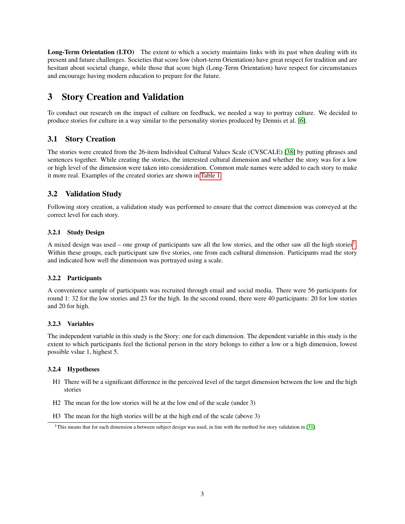Long-Term Orientation (LTO) The extent to which a society maintains links with its past when dealing with its present and future challenges. Societies that score low (short-term Orientation) have great respect for tradition and are hesitant about societal change, while those that score high (Long-Term Orientation) have respect for circumstances and encourage having modern education to prepare for the future.

# <span id="page-2-0"></span>3 Story Creation and Validation

To conduct our research on the impact of culture on feedback, we needed a way to portray culture. We decided to produce stories for culture in a way similar to the personality stories produced by Dennis et al. [\[6\]](#page-13-4).

# 3.1 Story Creation

The stories were created from the 26-item Individual Cultural Values Scale (CVSCALE) [\[38\]](#page-15-8) by putting phrases and sentences together. While creating the stories, the interested cultural dimension and whether the story was for a low or high level of the dimension were taken into consideration. Common male names were added to each story to make it more real. Examples of the created stories are shown in [Table 1.](#page-3-0)

## 3.2 Validation Study

Following story creation, a validation study was performed to ensure that the correct dimension was conveyed at the correct level for each story.

### 3.2.1 Study Design

A mixed design was used – one group of participants saw all the low stories, and the other saw all the high stories<sup>[1](#page-2-1)</sup>. Within these groups, each participant saw five stories, one from each cultural dimension. Participants read the story and indicated how well the dimension was portrayed using a scale.

### 3.2.2 Participants

A convenience sample of participants was recruited through email and social media. There were 56 participants for round 1: 32 for the low stories and 23 for the high. In the second round, there were 40 participants: 20 for low stories and 20 for high.

### 3.2.3 Variables

The independent variable in this study is the Story: one for each dimension. The dependent variable in this study is the extent to which participants feel the fictional person in the story belongs to either a low or a high dimension, lowest possible vslue 1, highest 5.

### 3.2.4 Hypotheses

- H1 There will be a significant difference in the perceived level of the target dimension between the low and the high stories
- H2 The mean for the low stories will be at the low end of the scale (under 3)
- H3 The mean for the high stories will be at the high end of the scale (above 3)

<span id="page-2-1"></span><sup>&</sup>lt;sup>1</sup>This means that for each dimension a between subject design was used, in line with the method for story validation in [\[31\]](#page-15-9)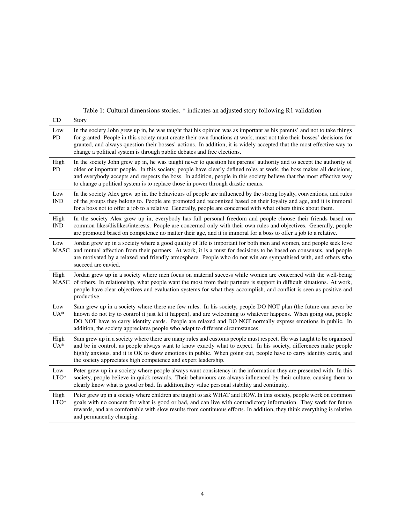# <span id="page-3-0"></span>Table 1: Cultural dimensions stories. \* indicates an adjusted story following R1 validation

| CD                  | Story                                                                                                                                                                                                                                                                                                                                                                                                                                                     |
|---------------------|-----------------------------------------------------------------------------------------------------------------------------------------------------------------------------------------------------------------------------------------------------------------------------------------------------------------------------------------------------------------------------------------------------------------------------------------------------------|
| Low<br>PD           | In the society John grew up in, he was taught that his opinion was as important as his parents' and not to take things<br>for granted. People in this society must create their own functions at work, must not take their bosses' decisions for<br>granted, and always question their bosses' actions. In addition, it is widely accepted that the most effective way to<br>change a political system is through public debates and free elections.      |
| High<br>PD          | In the society John grew up in, he was taught never to question his parents' authority and to accept the authority of<br>older or important people. In this society, people have clearly defined roles at work, the boss makes all decisions,<br>and everybody accepts and respects the boss. In addition, people in this society believe that the most effective way<br>to change a political system is to replace those in power through drastic means. |
| Low<br><b>IND</b>   | In the society Alex grew up in, the behaviours of people are influenced by the strong loyalty, conventions, and rules<br>of the groups they belong to. People are promoted and recognized based on their loyalty and age, and it is immoral<br>for a boss not to offer a job to a relative. Generally, people are concerned with what others think about them.                                                                                            |
| High<br><b>IND</b>  | In the society Alex grew up in, everybody has full personal freedom and people choose their friends based on<br>common likes/dislikes/interests. People are concerned only with their own rules and objectives. Generally, people<br>are promoted based on competence no matter their age, and it is immoral for a boss to offer a job to a relative.                                                                                                     |
| Low<br><b>MASC</b>  | Jordan grew up in a society where a good quality of life is important for both men and women, and people seek love<br>and mutual affection from their partners. At work, it is a must for decisions to be based on consensus, and people<br>are motivated by a relaxed and friendly atmosphere. People who do not win are sympathised with, and others who<br>succeed are envied.                                                                         |
| High<br><b>MASC</b> | Jordan grew up in a society where men focus on material success while women are concerned with the well-being<br>of others. In relationship, what people want the most from their partners is support in difficult situations. At work,<br>people have clear objectives and evaluation systems for what they accomplish, and conflict is seen as positive and<br>productive.                                                                              |
| Low<br>$UA*$        | Sam grew up in a society where there are few rules. In his society, people DO NOT plan (the future can never be<br>known do not try to control it just let it happen), and are welcoming to whatever happens. When going out, people<br>DO NOT have to carry identity cards. People are relaxed and DO NOT normally express emotions in public. In<br>addition, the society appreciates people who adapt to different circumstances.                      |
| High<br>$UA*$       | Sam grew up in a society where there are many rules and customs people must respect. He was taught to be organised<br>and be in control, as people always want to know exactly what to expect. In his society, differences make people<br>highly anxious, and it is OK to show emotions in public. When going out, people have to carry identity cards, and<br>the society appreciates high competence and expert leadership.                             |
| Low<br>LTO*         | Peter grew up in a society where people always want consistency in the information they are presented with. In this<br>society, people believe in quick rewards. Their behaviours are always influenced by their culture, causing them to<br>clearly know what is good or bad. In addition, they value personal stability and continuity.                                                                                                                 |
| High<br>LTO*        | Peter grew up in a society where children are taught to ask WHAT and HOW. In this society, people work on common<br>goals with no concern for what is good or bad, and can live with contradictory information. They work for future<br>rewards, and are comfortable with slow results from continuous efforts. In addition, they think everything is relative<br>and permanently changing.                                                               |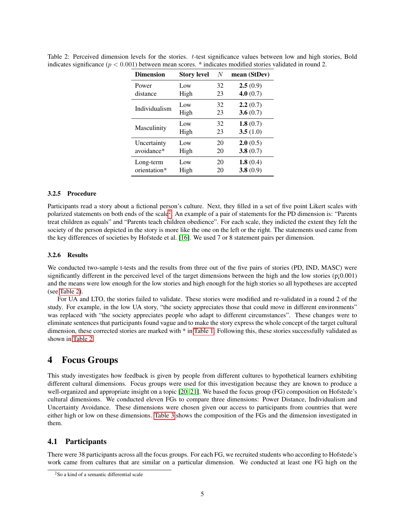| <b>Dimension</b> | <b>Story level</b> | N  | mean (StDev) |
|------------------|--------------------|----|--------------|
| Power            | Low                | 32 | 2.5(0.9)     |
| distance         | High               | 23 | 4.0 $(0.7)$  |
| Individualism    | Low                | 32 | 2.2(0.7)     |
|                  | High               | 23 | 3.6(0.7)     |
|                  | Low                | 32 | 1.8(0.7)     |
| Masculinity      | High               | 23 | 3.5(1.0)     |
| Uncertainty      | Low                | 20 | 2.0(0.5)     |
| avoidance*       | High               | 20 | 3.8(0.7)     |
| Long-term        | Low                | 20 | 1.8 $(0.4)$  |
| orientation*     | High               | 20 | 3.8(0.9)     |

<span id="page-4-2"></span>Table 2: Perceived dimension levels for the stories. t-test significance values between low and high stories, Bold indicates significance ( $p < 0.001$ ) between mean scores. \* indicates modified stories validated in round 2.

#### 3.2.5 Procedure

Participants read a story about a fictional person's culture. Next, they filled in a set of five point Likert scales with polarized statements on both ends of the scale<sup>[2](#page-4-1)</sup>. An example of a pair of statements for the PD dimension is: "Parents treat children as equals" and "Parents teach children obedience". For each scale, they indicted the extent they felt the society of the person depicted in the story is more like the one on the left or the right. The statements used came from the key differences of societies by Hofstede et al. [\[16\]](#page-14-16). We used 7 or 8 statement pairs per dimension.

#### 3.2.6 Results

We conducted two-sample t-tests and the results from three out of the five pairs of stories (PD, IND, MASC) were significantly different in the perceived level of the target dimensions between the high and the low stories ( $p<sub>i</sub>(0.001)$ ) and the means were low enough for the low stories and high enough for the high stories so all hypotheses are accepted (see [Table 2\)](#page-4-2).

For UA and LTO, the stories failed to validate. These stories were modified and re-validated in a round 2 of the study. For example, in the low UA story, "the society appreciates those that could move in different environments" was replaced with "the society appreciates people who adapt to different circumstances". These changes were to eliminate sentences that participants found vague and to make the story express the whole concept of the target cultural dimension, these corrected stories are marked with \* in [Table 1.](#page-3-0) Following this, these stories successfully validated as shown in [Table 2.](#page-4-2)

# <span id="page-4-0"></span>4 Focus Groups

This study investigates how feedback is given by people from different cultures to hypothetical learners exhibiting different cultural dimensions. Focus groups were used for this investigation because they are known to produce a well-organized and appropriate insight on a topic [\[20,](#page-14-17) [21\]](#page-14-18). We based the focus group (FG) composition on Hofstede's cultural dimensions. We conducted eleven FGs to compare three dimensions: Power Distance, Individualism and Uncertainty Avoidance. These dimensions were chosen given our access to participants from countries that were either high or low on these dimensions. [Table 3](#page-5-0) shows the composition of the FGs and the dimension investigated in them.

### 4.1 Participants

There were 38 participants across all the focus groups. For each FG, we recruited students who according to Hofstede's work came from cultures that are similar on a particular dimension. We conducted at least one FG high on the

<span id="page-4-1"></span><sup>2</sup>So a kind of a semantic differential scale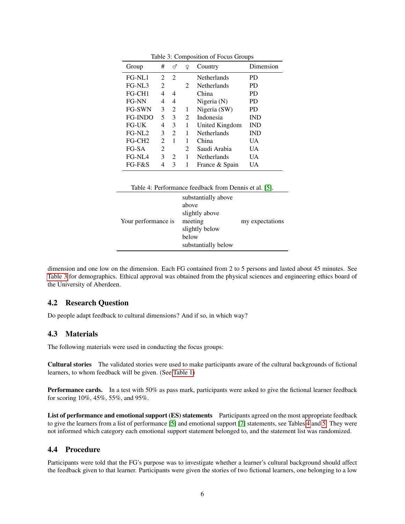| Group              | #              | ♂                           | ¥ | Country            | Dimension  |
|--------------------|----------------|-----------------------------|---|--------------------|------------|
| FG-NL1             | $\mathfrak{D}$ | $\mathcal{D}_{\mathcal{L}}$ |   | Netherlands        | PD.        |
| $FG-NL3$           | 2              |                             | 2 | <b>Netherlands</b> | PD.        |
| FG-CH <sub>1</sub> | 4              | 4                           |   | China              | PD.        |
| FG-NN              | 4              | 4                           |   | Nigeria (N)        | PD.        |
| <b>FG-SWN</b>      | 3              | 2                           | 1 | Nigeria (SW)       | PD.        |
| <b>FG-INDO</b>     | 5              | 3                           | 2 | Indonesia          | <b>IND</b> |
| FG-UK              | 4              | 3                           | 1 | United Kingdom     | <b>IND</b> |
| $FG-NL2$           | 3              | 2                           | 1 | <b>Netherlands</b> | <b>IND</b> |
| $FG-CH2$           | 2              | 1                           | 1 | China              | UA         |
| FG-SA              | 2              |                             | 2 | Saudi Arabia       | UA         |
| FG-NL4             | 3              | $\mathcal{D}_{\mathcal{L}}$ | 1 | <b>Netherlands</b> | UA         |
| FG-F&S             |                | 3                           | 1 | France & Spain     | UA         |
|                    |                |                             |   |                    |            |

<span id="page-5-0"></span>Table 3: Composition of Focus Groups

<span id="page-5-1"></span>

| Table 4: Performance feedback from Dennis et al. [5]. |
|-------------------------------------------------------|
| substantially above                                   |
| above                                                 |
| slightly above                                        |

| Your performance is | slightly above<br>meeting<br>slightly below<br>below | my expectations |
|---------------------|------------------------------------------------------|-----------------|
|                     | substantially below                                  |                 |

dimension and one low on the dimension. Each FG contained from 2 to 5 persons and lasted about 45 minutes. See [Table 3](#page-5-0) for demographics. Ethical approval was obtained from the physical sciences and engineering ethics board of the University of Aberdeen.

### 4.2 Research Question

Do people adapt feedback to cultural dimensions? And if so, in which way?

### 4.3 Materials

The following materials were used in conducting the focus groups:

Cultural stories The validated stories were used to make participants aware of the cultural backgrounds of fictional learners, to whom feedback will be given. (See [Table 1\)](#page-3-0)

Performance cards. In a test with 50% as pass mark, participants were asked to give the fictional learner feedback for scoring 10%, 45%, 55%, and 95%.

List of performance and emotional support (ES) statements Participants agreed on the most appropriate feedback to give the learners from a list of performance [\[5\]](#page-13-5) and emotional support [\[7\]](#page-13-6) statements, see Tables [4](#page-5-1) and [5.](#page-6-0) They were not informed which category each emotional support statement belonged to, and the statement list was randomized.

### 4.4 Procedure

Participants were told that the FG's purpose was to investigate whether a learner's cultural background should affect the feedback given to that learner. Participants were given the stories of two fictional learners, one belonging to a low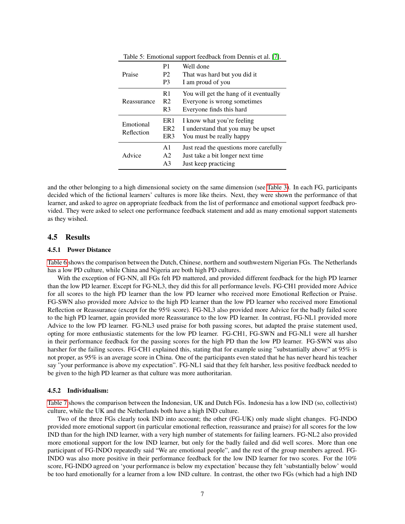| Praise                  | P1<br>P <sub>2</sub><br>P <sub>3</sub>             | Well done<br>That was hard but you did it<br>I am proud of you                                     |
|-------------------------|----------------------------------------------------|----------------------------------------------------------------------------------------------------|
| Reassurance             | R <sub>1</sub><br>R <sub>2</sub><br>R <sub>3</sub> | You will get the hang of it eventually<br>Everyone is wrong sometimes<br>Everyone finds this hard  |
| Emotional<br>Reflection | ER <sub>1</sub><br>ER <sub>2</sub><br>ER3          | I know what you're feeling<br>I understand that you may be upset<br>You must be really happy       |
| Advice                  | A1<br>A2<br>A3                                     | Just read the questions more carefully<br>Just take a bit longer next time<br>Just keep practicing |

<span id="page-6-0"></span>Table 5: Emotional support feedback from Dennis et al. [\[7\]](#page-13-6).

and the other belonging to a high dimensional society on the same dimension (see [Table 3\)](#page-5-0). In each FG, participants decided which of the fictional learners' cultures is more like theirs. Next, they were shown the performance of that learner, and asked to agree on appropriate feedback from the list of performance and emotional support feedback provided. They were asked to select one performance feedback statement and add as many emotional support statements as they wished.

#### 4.5 Results

#### 4.5.1 Power Distance

[Table 6](#page-7-0) shows the comparison between the Dutch, Chinese, northern and southwestern Nigerian FGs. The Netherlands has a low PD culture, while China and Nigeria are both high PD cultures.

With the exception of FG-NN, all FGs felt PD mattered, and provided different feedback for the high PD learner than the low PD learner. Except for FG-NL3, they did this for all performance levels. FG-CH1 provided more Advice for all scores to the high PD learner than the low PD learner who received more Emotional Reflection or Praise. FG-SWN also provided more Advice to the high PD learner than the low PD learner who received more Emotional Reflection or Reassurance (except for the 95% score). FG-NL3 also provided more Advice for the badly failed score to the high PD learner, again provided more Reassurance to the low PD learner. In contrast, FG-NL1 provided more Advice to the low PD learner. FG-NL3 used praise for both passing scores, but adapted the praise statement used, opting for more enthusiastic statements for the low PD learner. FG-CH1, FG-SWN and FG-NL1 were all harsher in their performance feedback for the passing scores for the high PD than the low PD learner. FG-SWN was also harsher for the failing scores. FG-CH1 explained this, stating that for example using "substantially above" at 95% is not proper, as 95% is an average score in China. One of the participants even stated that he has never heard his teacher say "your performance is above my expectation". FG-NL1 said that they felt harsher, less positive feedback needed to be given to the high PD learner as that culture was more authoritarian.

#### 4.5.2 Individualism:

[Table 7](#page-8-0) shows the comparison between the Indonesian, UK and Dutch FGs. Indonesia has a low IND (so, collectivist) culture, while the UK and the Netherlands both have a high IND culture.

Two of the three FGs clearly took IND into account; the other (FG-UK) only made slight changes. FG-INDO provided more emotional support (in particular emotional reflection, reassurance and praise) for all scores for the low IND than for the high IND learner, with a very high number of statements for failing learners. FG-NL2 also provided more emotional support for the low IND learner, but only for the badly failed and did well scores. More than one participant of FG-INDO repeatedly said "We are emotional people", and the rest of the group members agreed. FG-INDO was also more positive in their performance feedback for the low IND learner for two scores. For the 10% score, FG-INDO agreed on 'your performance is below my expectation' because they felt 'substantially below' would be too hard emotionally for a learner from a low IND culture. In contrast, the other two FGs (which had a high IND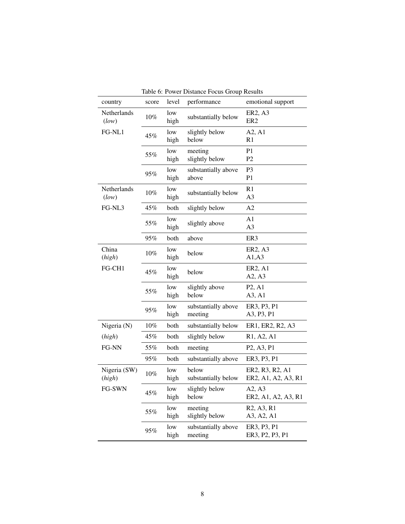| country                | score | level       | performance                    | emotional support                                              |
|------------------------|-------|-------------|--------------------------------|----------------------------------------------------------------|
| Netherlands<br>(low)   | 10%   | low<br>high | substantially below            | ER2, A3<br>ER <sub>2</sub>                                     |
| FG-NL1                 | 45%   | low<br>high | slightly below<br>below        | A2, A1<br>R1                                                   |
|                        | 55%   | low<br>high | meeting<br>slightly below      | P <sub>1</sub><br>P2                                           |
|                        | 95%   | low<br>high | substantially above<br>above   | P <sub>3</sub><br>P <sub>1</sub>                               |
| Netherlands<br>(low)   | 10%   | low<br>high | substantially below            | R <sub>1</sub><br>A3                                           |
| FG-NL3                 | 45%   | both        | slightly below                 | A2                                                             |
|                        | 55%   | low<br>high | slightly above                 | A1<br>A <sub>3</sub>                                           |
|                        | 95%   | both        | above                          | ER <sub>3</sub>                                                |
| China<br>(high)        | 10%   | low<br>high | below                          | ER2, A3<br>A1, A3                                              |
| FG-CH1                 | 45%   | low<br>high | below                          | ER2, A1<br>A2, A3                                              |
|                        | 55%   | low<br>high | slightly above<br>below        | P <sub>2</sub> , A <sub>1</sub><br>A3, A1                      |
|                        | 95%   | low<br>high | substantially above<br>meeting | ER3, P3, P1<br>A3, P3, P1                                      |
| Nigeria (N)            | 10%   | both        | substantially below            | ER1, ER2, R2, A3                                               |
| (high)                 | 45%   | both        | slightly below                 | R <sub>1</sub> , A <sub>2</sub> , A <sub>1</sub>               |
| FG-NN                  | 55%   | both        | meeting                        | P <sub>2</sub> , A <sub>3</sub> , P <sub>1</sub>               |
|                        | 95%   | both        | substantially above            | ER3, P3, P1                                                    |
| Nigeria (SW)<br>(high) | 10%   | low<br>high | below<br>substantially below   | ER2, R3, R2, A1<br>ER2, A1, A2, A3, R1                         |
| FG-SWN                 | 45%   | low<br>high | slightly below<br>below        | A <sub>2</sub> . A <sub>3</sub><br>ER2, A1, A2, A3, R1         |
|                        | 55%   | low<br>high | meeting<br>slightly below      | R <sub>2</sub> , A <sub>3</sub> , R <sub>1</sub><br>A3, A2, A1 |
|                        | 95%   | low<br>high | substantially above<br>meeting | ER3, P3, P1<br>ER3, P2, P3, P1                                 |

<span id="page-7-0"></span>Table 6: Power Distance Focus Group Results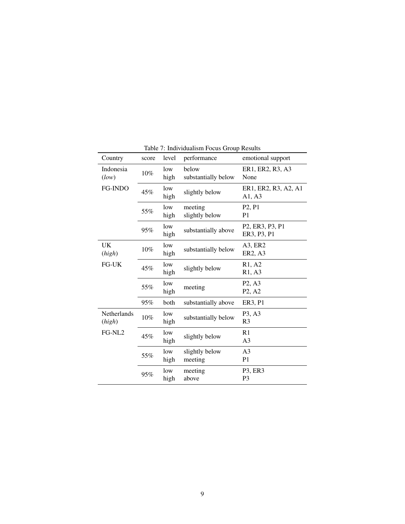| Country               | score | level       | performance                  | emotional support                                                                 |
|-----------------------|-------|-------------|------------------------------|-----------------------------------------------------------------------------------|
| Indonesia<br>(low)    | 10%   | low<br>high | below<br>substantially below | ER1, ER2, R3, A3<br>None                                                          |
| <b>FG-INDO</b>        | 45%   | low<br>high | slightly below               | ER1, ER2, R3, A2, A1<br>A1, A3                                                    |
|                       | 55%   | low<br>high | meeting<br>slightly below    | P <sub>2</sub> , P <sub>1</sub><br>P <sub>1</sub>                                 |
|                       | 95%   | low<br>high | substantially above          | P <sub>2</sub> , ER <sub>3</sub> , P <sub>3</sub> , P <sub>1</sub><br>ER3, P3, P1 |
| UK<br>(high)          | 10%   | low<br>high | substantially below          | A3, ER2<br>ER2, A3                                                                |
| FG-UK                 | 45%   | low<br>high | slightly below               | R1, A2<br>R <sub>1</sub> , A <sub>3</sub>                                         |
|                       | 55%   | low<br>high | meeting                      | P <sub>2</sub> , A <sub>3</sub><br>P <sub>2</sub> , A <sub>2</sub>                |
|                       | 95%   | both        | substantially above          | ER3, P1                                                                           |
| Netherlands<br>(high) | 10%   | low<br>high | substantially below          | P3, A3<br>R <sub>3</sub>                                                          |
| FG-NL2                | 45%   | low<br>high | slightly below               | R1<br>A3                                                                          |
|                       | 55%   | low<br>high | slightly below<br>meeting    | A3<br>P <sub>1</sub>                                                              |
|                       | 95%   | low<br>high | meeting<br>above             | P3, ER3<br>P <sub>3</sub>                                                         |

<span id="page-8-0"></span>Table 7: Individualism Focus Group Results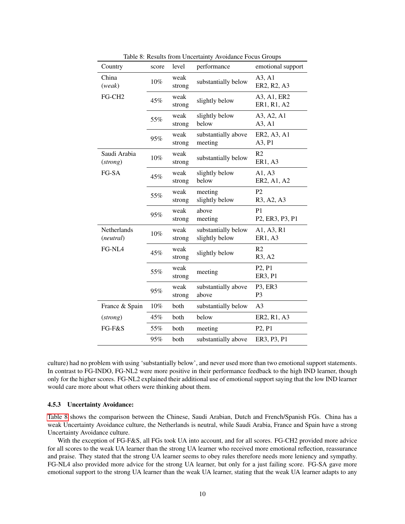| Country                  | score  | level          | performance                           | emotional support                                                                    |
|--------------------------|--------|----------------|---------------------------------------|--------------------------------------------------------------------------------------|
| China<br>(weak)          | $10\%$ | weak<br>strong | substantially below                   | A3, A1<br>ER2, R2, A3                                                                |
| FG-CH <sub>2</sub>       | 45%    | weak<br>strong | slightly below                        | A3, A1, ER2<br>ER1, R1, A2                                                           |
|                          | 55%    | weak<br>strong | slightly below<br>below               | A3, A2, A1<br>A3, A1                                                                 |
|                          | 95%    | weak<br>strong | substantially above<br>meeting        | ER2, A3, A1<br>A3, P1                                                                |
| Saudi Arabia<br>(strong) | 10%    | weak<br>strong | substantially below                   | R <sub>2</sub><br>ER1, A3                                                            |
| FG-SA                    | 45%    | weak<br>strong | slightly below<br>below               | A1, A3<br>ER2, A1, A2                                                                |
|                          | 55%    | weak<br>strong | meeting<br>slightly below             | P <sub>2</sub><br>R3, A2, A3                                                         |
|                          | 95%    | weak<br>strong | above<br>meeting                      | P <sub>1</sub><br>P <sub>2</sub> , ER <sub>3</sub> , P <sub>3</sub> , P <sub>1</sub> |
| Netherlands<br>(neutral) | 10%    | weak<br>strong | substantially below<br>slightly below | A1, A3, R1<br>ER1, A3                                                                |
| FG-NL4                   | 45%    | weak<br>strong | slightly below                        | R <sub>2</sub><br>R3, A2                                                             |
|                          | 55%    | weak<br>strong | meeting                               | P <sub>2</sub> , P <sub>1</sub><br>ER3, P1                                           |
|                          | 95%    | weak<br>strong | substantially above<br>above          | P3, ER3<br>P <sub>3</sub>                                                            |
| France & Spain           | $10\%$ | both           | substantially below                   | A <sub>3</sub>                                                                       |
| (strong)                 | 45%    | both           | below                                 | ER2, R1, A3                                                                          |
| FG-F&S                   | 55%    | both           | meeting                               | P <sub>2</sub> , P <sub>1</sub>                                                      |
|                          | 95%    | both           | substantially above                   | ER3, P3, P1                                                                          |

<span id="page-9-0"></span>Table 8: Results from Uncertainty Avoidance Focus Groups

culture) had no problem with using 'substantially below', and never used more than two emotional support statements. In contrast to FG-INDO, FG-NL2 were more positive in their performance feedback to the high IND learner, though only for the higher scores. FG-NL2 explained their additional use of emotional support saying that the low IND learner would care more about what others were thinking about them.

#### 4.5.3 Uncertainty Avoidance:

[Table 8](#page-9-0) shows the comparison between the Chinese, Saudi Arabian, Dutch and French/Spanish FGs. China has a weak Uncertainty Avoidance culture, the Netherlands is neutral, while Saudi Arabia, France and Spain have a strong Uncertainty Avoidance culture.

With the exception of FG-F&S, all FGs took UA into account, and for all scores. FG-CH2 provided more advice for all scores to the weak UA learner than the strong UA learner who received more emotional reflection, reassurance and praise. They stated that the strong UA learner seems to obey rules therefore needs more leniency and sympathy. FG-NL4 also provided more advice for the strong UA learner, but only for a just failing score. FG-SA gave more emotional support to the strong UA learner than the weak UA learner, stating that the weak UA learner adapts to any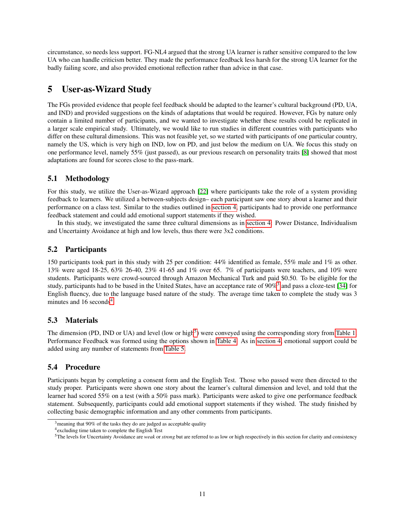circumstance, so needs less support. FG-NL4 argued that the strong UA learner is rather sensitive compared to the low UA who can handle criticism better. They made the performance feedback less harsh for the strong UA learner for the badly failing score, and also provided emotional reflection rather than advice in that case.

# <span id="page-10-0"></span>5 User-as-Wizard Study

The FGs provided evidence that people feel feedback should be adapted to the learner's cultural background (PD, UA, and IND) and provided suggestions on the kinds of adaptations that would be required. However, FGs by nature only contain a limited number of participants, and we wanted to investigate whether these results could be replicated in a larger scale empirical study. Ultimately, we would like to run studies in different countries with participants who differ on these cultural dimensions. This was not feasible yet, so we started with participants of one particular country, namely the US, which is very high on IND, low on PD, and just below the medium on UA. We focus this study on one performance level, namely 55% (just passed), as our previous research on personality traits [\[8\]](#page-13-2) showed that most adaptations are found for scores close to the pass-mark.

# 5.1 Methodology

For this study, we utilize the User-as-Wizard approach [\[22\]](#page-14-10) where participants take the role of a system providing feedback to learners. We utilized a between-subjects design– each participant saw one story about a learner and their performance on a class test. Similar to the studies outlined in [section 4,](#page-4-0) participants had to provide one performance feedback statement and could add emotional support statements if they wished.

In this study, we investigated the same three cultural dimensions as in [section 4:](#page-4-0) Power Distance, Individualism and Uncertainty Avoidance at high and low levels, thus there were 3x2 conditions.

# 5.2 Participants

150 participants took part in this study with 25 per condition: 44% identified as female, 55% male and 1% as other. 13% were aged 18-25, 63% 26-40, 23% 41-65 and 1% over 65. 7% of participants were teachers, and 10% were students. Participants were crowd-sourced through Amazon Mechanical Turk and paid \$0.50. To be eligible for the study, participants had to be based in the United States, have an acceptance rate of 90%<sup>[3](#page-10-1)</sup> and pass a cloze-test [\[34\]](#page-15-10) for English fluency, due to the language based nature of the study. The average time taken to complete the study was 3 minutes and  $16$  seconds<sup>[4](#page-10-2)</sup>.

# 5.3 Materials

The dimension (PD, IND or UA) and level (low or high<sup>[5](#page-10-3)</sup>) were conveyed using the corresponding story from [Table 1.](#page-3-0) Performance Feedback was formed using the options shown in [Table 4.](#page-5-1) As in [section 4,](#page-4-0) emotional support could be added using any number of statements from [Table 5.](#page-6-0)

# 5.4 Procedure

Participants began by completing a consent form and the English Test. Those who passed were then directed to the study proper. Participants were shown one story about the learner's cultural dimension and level, and told that the learner had scored 55% on a test (with a 50% pass mark). Participants were asked to give one performance feedback statement. Subsequently, participants could add emotional support statements if they wished. The study finished by collecting basic demographic information and any other comments from participants.

<span id="page-10-1"></span> $3$ meaning that 90% of the tasks they do are judged as acceptable quality

<span id="page-10-2"></span><sup>4</sup> excluding time taken to complete the English Test

<span id="page-10-3"></span><sup>5</sup>The levels for Uncertainty Avoidance are *weak* or *strong* but are referred to as low or high respectively in this section for clarity and consistency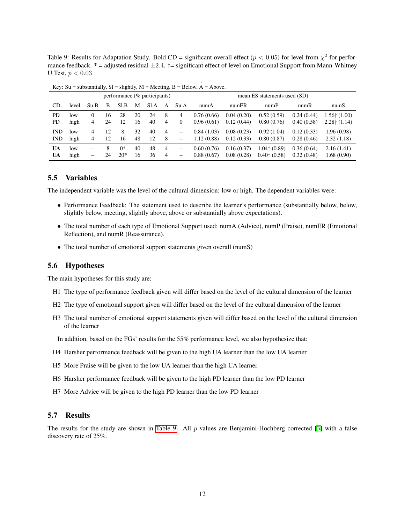<span id="page-11-0"></span>Table 9: Results for Adaptation Study. Bold CD = significant overall effect ( $p < 0.05$ ) for level from  $\chi^2$  for performance feedback.  $* =$  adjusted residual  $\pm 2.4$ .  $\dagger =$  significant effect of level on Emotional Support from Mann-Whitney U Test,  $p < 0.03$ 

| performance (% participants) |       |                                |    |       |    |     |                |                          |             |            | mean ES statements used (SD) |            |                       |
|------------------------------|-------|--------------------------------|----|-------|----|-----|----------------|--------------------------|-------------|------------|------------------------------|------------|-----------------------|
| CD                           | level | Su.B                           | B  | SLB   | M  | SLA | А              | Su.A                     | numA        | numER      | numP                         | numR       | numS                  |
| <b>PD</b>                    | low   | 0                              | 16 | 28    | 20 | 24  | 8              | 4                        | 0.76(0.66)  | 0.04(0.20) | 0.52(0.59)                   | 0.24(0.44) | $1.56 \pm (1.00)$     |
| <b>PD</b>                    | high  | 4                              | 24 | 12    | 16 | 40  | 4              | $\theta$                 | 0.96(0.61)  | 0.12(0.44) | 0.80(0.76)                   | 0.40(0.58) | $2.28 \dagger (1.14)$ |
| <b>IND</b>                   | low   | 4                              | 12 | 8     | 32 | 40  | 4              | $\overline{\phantom{0}}$ | 0.84(1.03)  | 0.08(0.23) | 0.92(1.04)                   | 0.12(0.33) | 1.96(0.98)            |
| <b>IND</b>                   | high  | 4                              | 12 | 16    | 48 | 12  | 8              | $\qquad \qquad -$        | 1.12 (0.88) | 0.12(0.33) | 0.80(0.87)                   | 0.28(0.46) | 2.32(1.18)            |
| UA                           | low   | $\qquad \qquad \longleftarrow$ | 8  | $0*$  | 40 | 48  | $\overline{4}$ | -                        | 0.60(0.76)  | 0.16(0.37) | $1.04 \uparrow (0.89)$       | 0.36(0.64) | 2.16(1.41)            |
| UA                           | high  | $\overline{\phantom{0}}$       | 24 | $20*$ | 16 | 36  | $\overline{4}$ | $\qquad \qquad -$        | 0.88(0.67)  | 0.08(0.28) | $0.40 \dagger (0.58)$        | 0.32(0.48) | 1.68(0.90)            |

. Key: Su = substantially, Sl = slightly,  $M$  = Meeting, B = Below, A = Above.

### 5.5 Variables

The independent variable was the level of the cultural dimension: low or high. The dependent variables were:

- Performance Feedback: The statement used to describe the learner's performance (substantially below, below, slightly below, meeting, slightly above, above or substantially above expectations).
- The total number of each type of Emotional Support used: numA (Advice), numP (Praise), numER (Emotional Reflection), and numR (Reassurance).
- The total number of emotional support statements given overall (numS)

### 5.6 Hypotheses

The main hypotheses for this study are:

- H1 The type of performance feedback given will differ based on the level of the cultural dimension of the learner
- H2 The type of emotional support given will differ based on the level of the cultural dimension of the learner
- H3 The total number of emotional support statements given will differ based on the level of the cultural dimension of the learner
- In addition, based on the FGs' results for the 55% performance level, we also hypothesize that:
- H4 Harsher performance feedback will be given to the high UA learner than the low UA learner
- H5 More Praise will be given to the low UA learner than the high UA learner
- H6 Harsher performance feedback will be given to the high PD learner than the low PD learner
- H7 More Advice will be given to the high PD learner than the low PD learner

### 5.7 Results

The results for the study are shown in [Table 9.](#page-11-0) All  $p$  values are Benjamini-Hochberg corrected [\[3\]](#page-13-7) with a false discovery rate of 25%.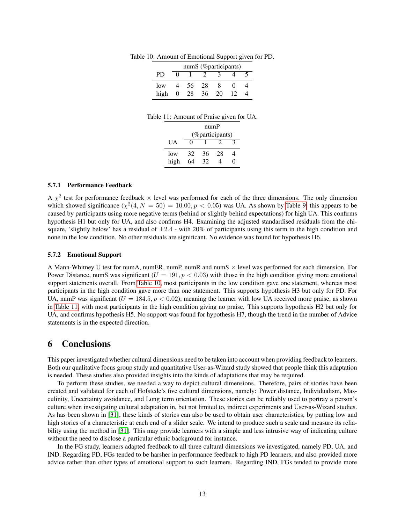<span id="page-12-0"></span>

|      |   | numS (%participants) |    |    |  |  |  |  |  |  |
|------|---|----------------------|----|----|--|--|--|--|--|--|
| PD   |   |                      |    |    |  |  |  |  |  |  |
| low  |   | 56                   | 28 |    |  |  |  |  |  |  |
| high | 0 | -28                  | 36 | 20 |  |  |  |  |  |  |

Table 10: Amount of Emotional Support given for PD.

#### Table 11: Amount of Praise given for UA.

<span id="page-12-1"></span>

|      | numP              |    |    |   |  |  |  |  |
|------|-------------------|----|----|---|--|--|--|--|
|      | (%participants)   |    |    |   |  |  |  |  |
| UA   | $\mathbf{\Omega}$ |    |    | К |  |  |  |  |
| low  | 32                | 36 | 28 |   |  |  |  |  |
| high | 64                | 32 |    | 0 |  |  |  |  |

#### 5.7.1 Performance Feedback

A  $\chi^2$  test for performance feedback  $\times$  level was performed for each of the three dimensions. The only dimension which showed significance  $(\chi^2(4, N = 50) = 10.00, p < 0.05)$  was UA. As shown by [Table 9,](#page-11-0) this appears to be caused by participants using more negative terms (behind or slightly behind expectations) for high UA. This confirms hypothesis H1 but only for UA, and also confirms H4. Examining the adjusted standardised residuals from the chisquare, 'slightly below' has a residual of  $\pm 2.4$  - with 20% of participants using this term in the high condition and none in the low condition. No other residuals are significant. No evidence was found for hypothesis H6.

#### 5.7.2 Emotional Support

A Mann-Whitney U test for numA, numER, numP, numR and numS  $\times$  level was performed for each dimension. For Power Distance, numS was significant  $(U = 191, p < 0.03)$  with those in the high condition giving more emotional support statements overall. From [Table 10,](#page-12-0) most participants in the low condition gave one statement, whereas most participants in the high condition gave more than one statement. This supports hypothesis H3 but only for PD. For UA, numP was significant  $(U = 184.5, p < 0.02)$ , meaning the learner with low UA received more praise, as shown in [Table 11,](#page-12-1) with most participants in the high condition giving no praise. This supports hypothesis H2 but only for UA, and confirms hypothesis H5. No support was found for hypothesis H7, though the trend in the number of Advice statements is in the expected direction.

### 6 Conclusions

This paper investigated whether cultural dimensions need to be taken into account when providing feedback to learners. Both our qualitative focus group study and quantitative User-as-Wizard study showed that people think this adaptation is needed. These studies also provided insights into the kinds of adaptations that may be required.

To perform these studies, we needed a way to depict cultural dimensions. Therefore, pairs of stories have been created and validated for each of Hofstede's five cultural dimensions, namely: Power distance, Individualism, Masculinity, Uncertainty avoidance, and Long term orientation. These stories can be reliably used to portray a person's culture when investigating cultural adaptation in, but not limited to, indirect experiments and User-as-Wizard studies. As has been shown in [\[31\]](#page-15-9), these kinds of stories can also be used to obtain user characteristics, by putting low and high stories of a characteristic at each end of a slider scale. We intend to produce such a scale and measure its reliability using the method in [\[31\]](#page-15-9). This may provide learners with a simple and less intrusive way of indicating culture without the need to disclose a particular ethnic background for instance.

In the FG study, learners adapted feedback to all three cultural dimensions we investigated, namely PD, UA, and IND. Regarding PD, FGs tended to be harsher in performance feedback to high PD learners, and also provided more advice rather than other types of emotional support to such learners. Regarding IND, FGs tended to provide more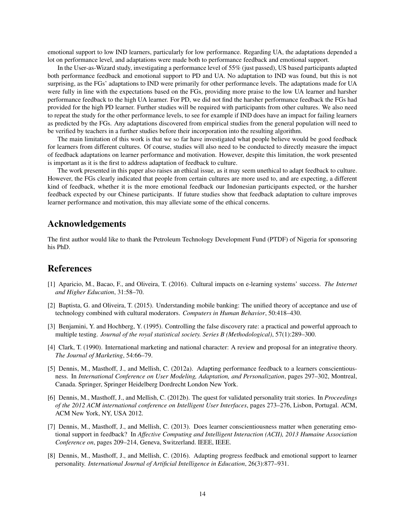emotional support to low IND learners, particularly for low performance. Regarding UA, the adaptations depended a lot on performance level, and adaptations were made both to performance feedback and emotional support.

In the User-as-Wizard study, investigating a performance level of 55% (just passed), US based participants adapted both performance feedback and emotional support to PD and UA. No adaptation to IND was found, but this is not surprising, as the FGs' adaptations to IND were primarily for other performance levels. The adaptations made for UA were fully in line with the expectations based on the FGs, providing more praise to the low UA learner and harsher performance feedback to the high UA learner. For PD, we did not find the harsher performance feedback the FGs had provided for the high PD learner. Further studies will be required with participants from other cultures. We also need to repeat the study for the other performance levels, to see for example if IND does have an impact for failing learners as predicted by the FGs. Any adaptations discovered from empirical studies from the general population will need to be verified by teachers in a further studies before their incorporation into the resulting algorithm.

The main limitation of this work is that we so far have investigated what people believe would be good feedback for learners from different cultures. Of course, studies will also need to be conducted to directly measure the impact of feedback adaptations on learner performance and motivation. However, despite this limitation, the work presented is important as it is the first to address adaptation of feedback to culture.

The work presented in this paper also raises an ethical issue, as it may seem unethical to adapt feedback to culture. However, the FGs clearly indicated that people from certain cultures are more used to, and are expecting, a different kind of feedback, whether it is the more emotional feedback our Indonesian participants expected, or the harsher feedback expected by our Chinese participants. If future studies show that feedback adaptation to culture improves learner performance and motivation, this may alleviate some of the ethical concerns.

## Acknowledgements

The first author would like to thank the Petroleum Technology Development Fund (PTDF) of Nigeria for sponsoring his PhD.

## References

- <span id="page-13-1"></span>[1] Aparicio, M., Bacao, F., and Oliveira, T. (2016). Cultural impacts on e-learning systems' success. *The Internet and Higher Education*, 31:58–70.
- <span id="page-13-0"></span>[2] Baptista, G. and Oliveira, T. (2015). Understanding mobile banking: The unified theory of acceptance and use of technology combined with cultural moderators. *Computers in Human Behavior*, 50:418–430.
- <span id="page-13-7"></span>[3] Benjamini, Y. and Hochberg, Y. (1995). Controlling the false discovery rate: a practical and powerful approach to multiple testing. *Journal of the royal statistical society. Series B (Methodological)*, 57(1):289–300.
- <span id="page-13-3"></span>[4] Clark, T. (1990). International marketing and national character: A review and proposal for an integrative theory. *The Journal of Marketing*, 54:66–79.
- <span id="page-13-5"></span>[5] Dennis, M., Masthoff, J., and Mellish, C. (2012a). Adapting performance feedback to a learners conscientiousness. In *International Conference on User Modeling, Adaptation, and Personalization*, pages 297–302, Montreal, Canada. Springer, Springer Heidelberg Dordrecht London New York.
- <span id="page-13-4"></span>[6] Dennis, M., Masthoff, J., and Mellish, C. (2012b). The quest for validated personality trait stories. In *Proceedings of the 2012 ACM international conference on Intelligent User Interfaces*, pages 273–276, Lisbon, Portugal. ACM, ACM New York, NY, USA 2012.
- <span id="page-13-6"></span>[7] Dennis, M., Masthoff, J., and Mellish, C. (2013). Does learner conscientiousness matter when generating emotional support in feedback? In *Affective Computing and Intelligent Interaction (ACII), 2013 Humaine Association Conference on*, pages 209–214, Geneva, Switzerland. IEEE, IEEE.
- <span id="page-13-2"></span>[8] Dennis, M., Masthoff, J., and Mellish, C. (2016). Adapting progress feedback and emotional support to learner personality. *International Journal of Artificial Intelligence in Education*, 26(3):877–931.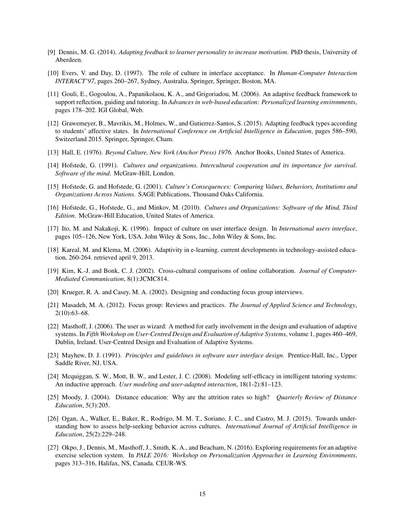- <span id="page-14-2"></span>[9] Dennis, M. G. (2014). *Adapting feedback to learner personality to increase motivation*. PhD thesis, University of Aberdeen.
- <span id="page-14-4"></span>[10] Evers, V. and Day, D. (1997). The role of culture in interface acceptance. In *Human-Computer Interaction INTERACT'97*, pages 260–267, Sydney, Australia. Springer, Springer, Boston, MA.
- <span id="page-14-12"></span>[11] Gouli, E., Gogoulou, A., Papanikolaou, K. A., and Grigoriadou, M. (2006). An adaptive feedback framework to support reflection, guiding and tutoring. In *Advances in web-based education: Personalized learning environments*, pages 178–202. IGI Global, Web.
- <span id="page-14-11"></span>[12] Grawemeyer, B., Mavrikis, M., Holmes, W., and Gutierrez-Santos, S. (2015). Adapting feedback types according to students' affective states. In *International Conference on Artificial Intelligence in Education*, pages 586–590, Switzerland 2015. Springer, Springer, Cham.
- <span id="page-14-14"></span>[13] Hall, E. (1976). *Beyond Culture, New York (Anchor Press) 1976.* Anchor Books, United States of America.
- <span id="page-14-9"></span>[14] Hofstede, G. (1991). *Cultures and organizations. Intercultural cooperation and its importance for survival. Software of the mind*. McGraw-Hill, London.
- <span id="page-14-15"></span>[15] Hofstede, G. and Hofstede, G. (2001). *Culture's Consequences: Comparing Values, Behaviors, Institutions and Organizations Across Nations*. SAGE Publications, Thousand Oaks California.
- <span id="page-14-16"></span>[16] Hofstede, G., Hofstede, G., and Minkov, M. (2010). *Cultures and Organizations: Software of the Mind, Third Edition*. McGraw-Hill Education, United States of America.
- <span id="page-14-3"></span>[17] Ito, M. and Nakakoji, K. (1996). Impact of culture on user interface design. In *International users interface*, pages 105–126, New York, USA. John Wiley & Sons, Inc., John Wiley & Sons, Inc.
- <span id="page-14-8"></span>[18] Kareal, M. and Klema, M. (2006). Adaptivity in e-learning. current developments in technology-assisted education, 260-264. retrieved april 9, 2013.
- <span id="page-14-6"></span>[19] Kim, K.-J. and Bonk, C. J. (2002). Cross-cultural comparisons of online collaboration. *Journal of Computer-Mediated Communication*, 8(1):JCMC814.
- <span id="page-14-17"></span>[20] Krueger, R. A. and Casey, M. A. (2002). Designing and conducting focus group interviews.
- <span id="page-14-18"></span>[21] Masadeh, M. A. (2012). Focus group: Reviews and practices. *The Journal of Applied Science and Technology*, 2(10):63–68.
- <span id="page-14-10"></span>[22] Masthoff, J. (2006). The user as wizard: A method for early involvement in the design and evaluation of adaptive systems. In *Fifth Workshop on User-Centred Design and Evaluation of Adaptive Systems*, volume 1, pages 460–469, Dublin, Ireland. User-Centred Design and Evaluation of Adaptive Systems.
- <span id="page-14-7"></span>[23] Mayhew, D. J. (1991). *Principles and guidelines in software user interface design*. Prentice-Hall, Inc., Upper Saddle River, NJ, USA.
- <span id="page-14-1"></span>[24] Mcquiggan, S. W., Mott, B. W., and Lester, J. C. (2008). Modeling self-efficacy in intelligent tutoring systems: An inductive approach. *User modeling and user-adapted interaction*, 18(1-2):81–123.
- <span id="page-14-0"></span>[25] Moody, J. (2004). Distance education: Why are the attrition rates so high? *Quarterly Review of Distance Education*, 5(3):205.
- <span id="page-14-5"></span>[26] Ogan, A., Walker, E., Baker, R., Rodrigo, M. M. T., Soriano, J. C., and Castro, M. J. (2015). Towards understanding how to assess help-seeking behavior across cultures. *International Journal of Artificial Intelligence in Education*, 25(2):229–248.
- <span id="page-14-13"></span>[27] Okpo, J., Dennis, M., Masthoff, J., Smith, K. A., and Beacham, N. (2016). Exploring requirements for an adaptive exercise selection system. In *PALE 2016: Workshop on Personalization Approaches in Learning Environments*, pages 313–316, Halifax, NS, Canada. CEUR-WS.